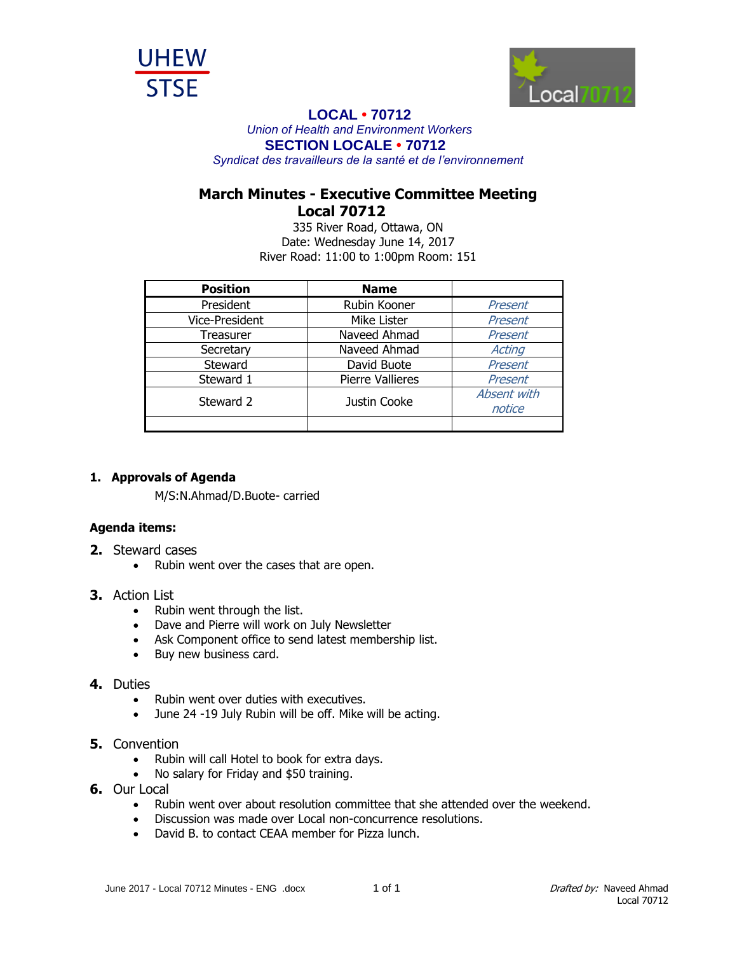



## **LOCAL • 70712**

*Union of Health and Environment Workers* **SECTION LOCALE • 70712**

*Syndicat des travailleurs de la santé et de l'environnement*

# **March Minutes - Executive Committee Meeting Local 70712**

335 River Road, Ottawa, ON Date: Wednesday June 14, 2017 River Road: 11:00 to 1:00pm Room: 151

| <b>Position</b>       | <b>Name</b>             |             |
|-----------------------|-------------------------|-------------|
| President             | Rubin Kooner            | Present     |
| <b>Vice-President</b> | Mike Lister             | Present     |
| Treasurer             | Naveed Ahmad            | Present     |
| Secretary             | Naveed Ahmad            | Acting      |
| Steward               | David Buote             | Present     |
| Steward 1             | <b>Pierre Vallieres</b> | Present     |
| Steward 2             | Justin Cooke            | Absent with |
|                       |                         | notice      |
|                       |                         |             |

### **1. Approvals of Agenda**

M/S:N.Ahmad/D.Buote- carried

## **Agenda items:**

- **2.** Steward cases
	- Rubin went over the cases that are open.

#### **3.** Action List

- Rubin went through the list.
- Dave and Pierre will work on July Newsletter
- Ask Component office to send latest membership list.
- Buy new business card.

#### **4.** Duties

- Rubin went over duties with executives.
- June 24 -19 July Rubin will be off. Mike will be acting.

### **5.** Convention

- Rubin will call Hotel to book for extra days.
- No salary for Friday and \$50 training.
- **6.** Our Local
	- Rubin went over about resolution committee that she attended over the weekend.
	- Discussion was made over Local non-concurrence resolutions.
	- David B. to contact CEAA member for Pizza lunch.